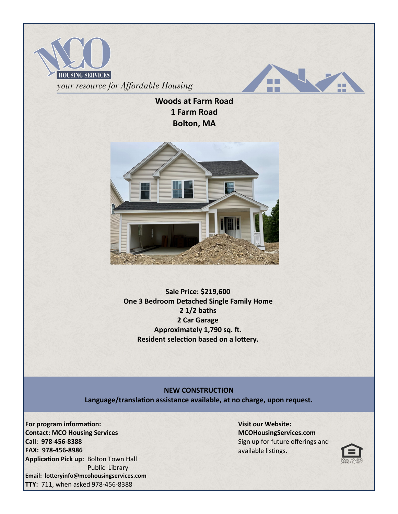



**Woods at Farm Road 1 Farm Road Bolton, MA**



**Sale Price: \$219,600 One 3 Bedroom Detached Single Family Home 2 1/2 baths 2 Car Garage Approximately 1,790 sq. ft. Resident selection based on a lottery.**

## **NEW CONSTRUCTION**

**Language/translation assistance available, at no charge, upon request.**

**For program information: Contact: MCO Housing Services Call: 978-456-8388 FAX: 978-456-8986 Application Pick up:** Bolton Town Hall Public Library **Email: lotteryinfo@mcohousingservices.com TTY:** 711, when asked 978-456-8388

**Visit our Website: MCOHousingServices.com** Sign up for future offerings and available listings.